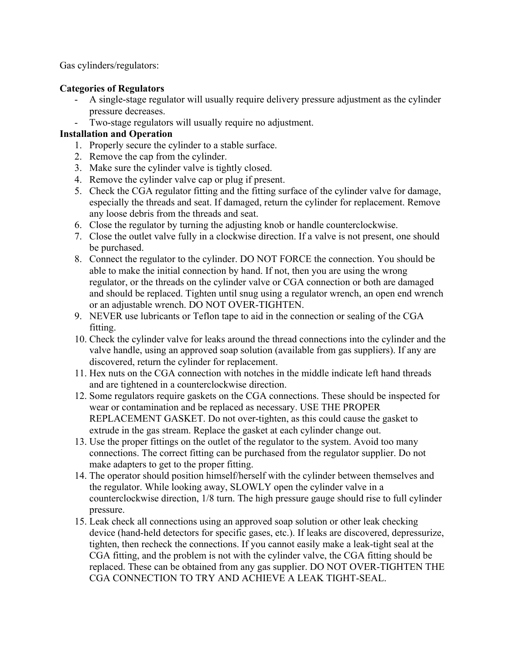Gas cylinders/regulators:

## **Categories of Regulators**

- A single-stage regulator will usually require delivery pressure adjustment as the cylinder pressure decreases.
- Two-stage regulators will usually require no adjustment.

## **Installation and Operation**

- 1. Properly secure the cylinder to a stable surface.
- 2. Remove the cap from the cylinder.
- 3. Make sure the cylinder valve is tightly closed.
- 4. Remove the cylinder valve cap or plug if present.
- 5. Check the CGA regulator fitting and the fitting surface of the cylinder valve for damage, especially the threads and seat. If damaged, return the cylinder for replacement. Remove any loose debris from the threads and seat.
- 6. Close the regulator by turning the adjusting knob or handle counterclockwise.
- 7. Close the outlet valve fully in a clockwise direction. If a valve is not present, one should be purchased.
- 8. Connect the regulator to the cylinder. DO NOT FORCE the connection. You should be able to make the initial connection by hand. If not, then you are using the wrong regulator, or the threads on the cylinder valve or CGA connection or both are damaged and should be replaced. Tighten until snug using a regulator wrench, an open end wrench or an adjustable wrench. DO NOT OVER-TIGHTEN.
- 9. NEVER use lubricants or Teflon tape to aid in the connection or sealing of the CGA fitting.
- 10. Check the cylinder valve for leaks around the thread connections into the cylinder and the valve handle, using an approved soap solution (available from gas suppliers). If any are discovered, return the cylinder for replacement.
- 11. Hex nuts on the CGA connection with notches in the middle indicate left hand threads and are tightened in a counterclockwise direction.
- 12. Some regulators require gaskets on the CGA connections. These should be inspected for wear or contamination and be replaced as necessary. USE THE PROPER REPLACEMENT GASKET. Do not over-tighten, as this could cause the gasket to extrude in the gas stream. Replace the gasket at each cylinder change out.
- 13. Use the proper fittings on the outlet of the regulator to the system. Avoid too many connections. The correct fitting can be purchased from the regulator supplier. Do not make adapters to get to the proper fitting.
- 14. The operator should position himself/herself with the cylinder between themselves and the regulator. While looking away, SLOWLY open the cylinder valve in a counterclockwise direction, 1/8 turn. The high pressure gauge should rise to full cylinder pressure.
- 15. Leak check all connections using an approved soap solution or other leak checking device (hand-held detectors for specific gases, etc.). If leaks are discovered, depressurize, tighten, then recheck the connections. If you cannot easily make a leak-tight seal at the CGA fitting, and the problem is not with the cylinder valve, the CGA fitting should be replaced. These can be obtained from any gas supplier. DO NOT OVER-TIGHTEN THE CGA CONNECTION TO TRY AND ACHIEVE A LEAK TIGHT-SEAL.